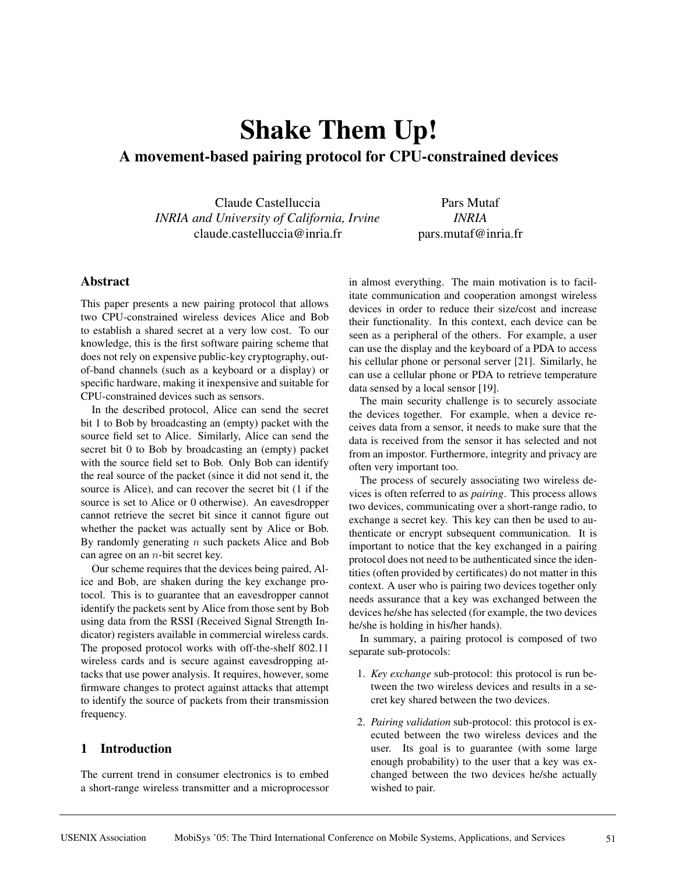# **Shake Them Up! A movement-based pairing protocol for CPU-constrained devices**

Claude Castelluccia *INRIA and University of California, Irvine* claude.castelluccia@inria.fr

Pars Mutaf *INRIA* pars.mutaf@inria.fr

# **Abstract**

This paper presents a new pairing protocol that allows two CPU-constrained wireless devices Alice and Bob to establish a shared secret at a very low cost. To our knowledge, this is the first software pairing scheme that does not rely on expensive public-key cryptography, outof-band channels (such as a keyboard or a display) or specific hardware, making it inexpensive and suitable for CPU-constrained devices such as sensors.

In the described protocol, Alice can send the secret bit 1 to Bob by broadcasting an (empty) packet with the source field set to Alice. Similarly, Alice can send the secret bit 0 to Bob by broadcasting an (empty) packet with the source field set to Bob. Only Bob can identify the real source of the packet (since it did not send it, the source is Alice), and can recover the secret bit (1 if the source is set to Alice or 0 otherwise). An eavesdropper cannot retrieve the secret bit since it cannot figure out whether the packet was actually sent by Alice or Bob. By randomly generating  $n$  such packets Alice and Bob can agree on an  $n$ -bit secret key.

Our scheme requires that the devices being paired, Alice and Bob, are shaken during the key exchange protocol. This is to guarantee that an eavesdropper cannot identify the packets sent by Alice from those sent by Bob using data from the RSSI (Received Signal Strength Indicator) registers available in commercial wireless cards. The proposed protocol works with off-the-shelf 802.11 wireless cards and is secure against eavesdropping attacks that use power analysis. It requires, however, some firmware changes to protect against attacks that attempt to identify the source of packets from their transmission frequency.

# **1 Introduction**

The current trend in consumer electronics is to embed a short-range wireless transmitter and a microprocessor in almost everything. The main motivation is to facilitate communication and cooperation amongst wireless devices in order to reduce their size/cost and increase their functionality. In this context, each device can be seen as a peripheral of the others. For example, a user can use the display and the keyboard of a PDA to access his cellular phone or personal server [21]. Similarly, he can use a cellular phone or PDA to retrieve temperature data sensed by a local sensor [19].

The main security challenge is to securely associate the devices together. For example, when a device receives data from a sensor, it needs to make sure that the data is received from the sensor it has selected and not from an impostor. Furthermore, integrity and privacy are often very important too.

The process of securely associating two wireless devices is often referred to as *pairing*. This process allows two devices, communicating over a short-range radio, to exchange a secret key. This key can then be used to authenticate or encrypt subsequent communication. It is important to notice that the key exchanged in a pairing protocol does not need to be authenticated since the identities (often provided by certificates) do not matter in this context. A user who is pairing two devices together only needs assurance that a key was exchanged between the devices he/she has selected (for example, the two devices he/she is holding in his/her hands).

In summary, a pairing protocol is composed of two separate sub-protocols:

- 1. *Key exchange* sub-protocol: this protocol is run between the two wireless devices and results in a secret key shared between the two devices.
- 2. *Pairing validation* sub-protocol: this protocol is executed between the two wireless devices and the user. Its goal is to guarantee (with some large enough probability) to the user that a key was exchanged between the two devices he/she actually wished to pair.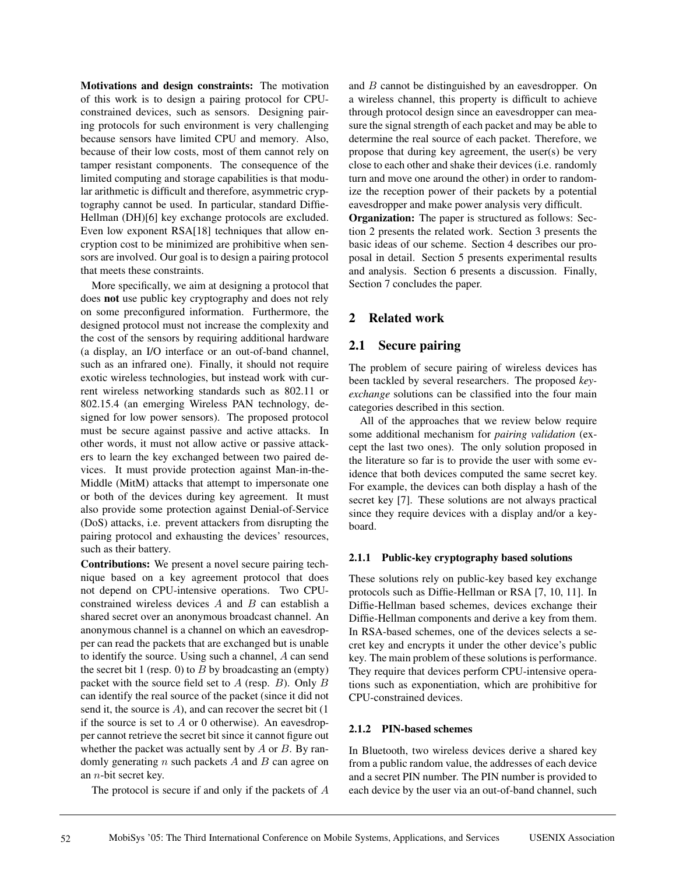**Motivations and design constraints:** The motivation of this work is to design a pairing protocol for CPUconstrained devices, such as sensors. Designing pairing protocols for such environment is very challenging because sensors have limited CPU and memory. Also, because of their low costs, most of them cannot rely on tamper resistant components. The consequence of the limited computing and storage capabilities is that modular arithmetic is difficult and therefore, asymmetric cryptography cannot be used. In particular, standard Diffie-Hellman (DH)[6] key exchange protocols are excluded. Even low exponent RSA[18] techniques that allow encryption cost to be minimized are prohibitive when sensors are involved. Our goal is to design a pairing protocol that meets these constraints.

More specifically, we aim at designing a protocol that does **not** use public key cryptography and does not rely on some preconfigured information. Furthermore, the designed protocol must not increase the complexity and the cost of the sensors by requiring additional hardware (a display, an I/O interface or an out-of-band channel, such as an infrared one). Finally, it should not require exotic wireless technologies, but instead work with current wireless networking standards such as 802.11 or 802.15.4 (an emerging Wireless PAN technology, designed for low power sensors). The proposed protocol must be secure against passive and active attacks. In other words, it must not allow active or passive attackers to learn the key exchanged between two paired devices. It must provide protection against Man-in-the-Middle (MitM) attacks that attempt to impersonate one or both of the devices during key agreement. It must also provide some protection against Denial-of-Service (DoS) attacks, i.e. prevent attackers from disrupting the pairing protocol and exhausting the devices' resources, such as their battery.

**Contributions:** We present a novel secure pairing technique based on a key agreement protocol that does not depend on CPU-intensive operations. Two CPUconstrained wireless devices  $A$  and  $B$  can establish a shared secret over an anonymous broadcast channel. An anonymous channel is a channel on which an eavesdropper can read the packets that are exchanged but is unable to identify the source. Using such a channel, A can send the secret bit 1 (resp. 0) to  $B$  by broadcasting an (empty) packet with the source field set to  $A$  (resp.  $B$ ). Only  $B$ can identify the real source of the packet (since it did not send it, the source is A), and can recover the secret bit (1 if the source is set to  $A$  or 0 otherwise). An eavesdropper cannot retrieve the secret bit since it cannot figure out whether the packet was actually sent by  $A$  or  $B$ . By randomly generating  $n$  such packets  $A$  and  $B$  can agree on an n-bit secret key.

The protocol is secure if and only if the packets of A

and B cannot be distinguished by an eavesdropper. On a wireless channel, this property is difficult to achieve through protocol design since an eavesdropper can measure the signal strength of each packet and may be able to determine the real source of each packet. Therefore, we propose that during key agreement, the user(s) be very close to each other and shake their devices (i.e. randomly turn and move one around the other) in order to randomize the reception power of their packets by a potential eavesdropper and make power analysis very difficult.

**Organization:** The paper is structured as follows: Section 2 presents the related work. Section 3 presents the basic ideas of our scheme. Section 4 describes our proposal in detail. Section 5 presents experimental results and analysis. Section 6 presents a discussion. Finally, Section 7 concludes the paper.

# **2 Related work**

# **2.1 Secure pairing**

The problem of secure pairing of wireless devices has been tackled by several researchers. The proposed *keyexchange* solutions can be classified into the four main categories described in this section.

All of the approaches that we review below require some additional mechanism for *pairing validation* (except the last two ones). The only solution proposed in the literature so far is to provide the user with some evidence that both devices computed the same secret key. For example, the devices can both display a hash of the secret key [7]. These solutions are not always practical since they require devices with a display and/or a keyboard.

# **2.1.1 Public-key cryptography based solutions**

These solutions rely on public-key based key exchange protocols such as Diffie-Hellman or RSA [7, 10, 11]. In Diffie-Hellman based schemes, devices exchange their Diffie-Hellman components and derive a key from them. In RSA-based schemes, one of the devices selects a secret key and encrypts it under the other device's public key. The main problem of these solutions is performance. They require that devices perform CPU-intensive operations such as exponentiation, which are prohibitive for CPU-constrained devices.

# **2.1.2 PIN-based schemes**

In Bluetooth, two wireless devices derive a shared key from a public random value, the addresses of each device and a secret PIN number. The PIN number is provided to each device by the user via an out-of-band channel, such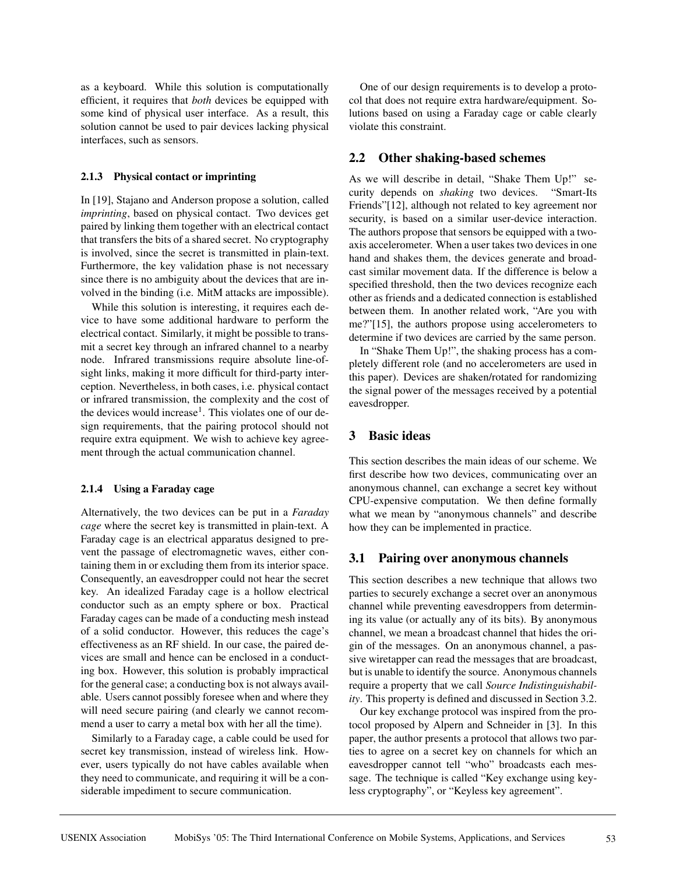as a keyboard. While this solution is computationally efficient, it requires that *both* devices be equipped with some kind of physical user interface. As a result, this solution cannot be used to pair devices lacking physical interfaces, such as sensors.

#### **2.1.3 Physical contact or imprinting**

In [19], Stajano and Anderson propose a solution, called *imprinting*, based on physical contact. Two devices get paired by linking them together with an electrical contact that transfers the bits of a shared secret. No cryptography is involved, since the secret is transmitted in plain-text. Furthermore, the key validation phase is not necessary since there is no ambiguity about the devices that are involved in the binding (i.e. MitM attacks are impossible).

While this solution is interesting, it requires each device to have some additional hardware to perform the electrical contact. Similarly, it might be possible to transmit a secret key through an infrared channel to a nearby node. Infrared transmissions require absolute line-ofsight links, making it more difficult for third-party interception. Nevertheless, in both cases, i.e. physical contact or infrared transmission, the complexity and the cost of the devices would increase<sup>1</sup>. This violates one of our design requirements, that the pairing protocol should not require extra equipment. We wish to achieve key agreement through the actual communication channel.

## **2.1.4 Using a Faraday cage**

Alternatively, the two devices can be put in a *Faraday cage* where the secret key is transmitted in plain-text. A Faraday cage is an electrical apparatus designed to prevent the passage of electromagnetic waves, either containing them in or excluding them from its interior space. Consequently, an eavesdropper could not hear the secret key. An idealized Faraday cage is a hollow electrical conductor such as an empty sphere or box. Practical Faraday cages can be made of a conducting mesh instead of a solid conductor. However, this reduces the cage's effectiveness as an RF shield. In our case, the paired devices are small and hence can be enclosed in a conducting box. However, this solution is probably impractical for the general case; a conducting box is not always available. Users cannot possibly foresee when and where they will need secure pairing (and clearly we cannot recommend a user to carry a metal box with her all the time).

Similarly to a Faraday cage, a cable could be used for secret key transmission, instead of wireless link. However, users typically do not have cables available when they need to communicate, and requiring it will be a considerable impediment to secure communication.

One of our design requirements is to develop a protocol that does not require extra hardware/equipment. Solutions based on using a Faraday cage or cable clearly violate this constraint.

# **2.2 Other shaking-based schemes**

As we will describe in detail, "Shake Them Up!" security depends on *shaking* two devices. "Smart-Its Friends"[12], although not related to key agreement nor security, is based on a similar user-device interaction. The authors propose that sensors be equipped with a twoaxis accelerometer. When a user takes two devices in one hand and shakes them, the devices generate and broadcast similar movement data. If the difference is below a specified threshold, then the two devices recognize each other as friends and a dedicated connection is established between them. In another related work, "Are you with me?"[15], the authors propose using accelerometers to determine if two devices are carried by the same person.

In "Shake Them Up!", the shaking process has a completely different role (and no accelerometers are used in this paper). Devices are shaken/rotated for randomizing the signal power of the messages received by a potential eavesdropper.

# **3 Basic ideas**

This section describes the main ideas of our scheme. We first describe how two devices, communicating over an anonymous channel, can exchange a secret key without CPU-expensive computation. We then define formally what we mean by "anonymous channels" and describe how they can be implemented in practice.

## **3.1 Pairing over anonymous channels**

This section describes a new technique that allows two parties to securely exchange a secret over an anonymous channel while preventing eavesdroppers from determining its value (or actually any of its bits). By anonymous channel, we mean a broadcast channel that hides the origin of the messages. On an anonymous channel, a passive wiretapper can read the messages that are broadcast, but is unable to identify the source. Anonymous channels require a property that we call *Source Indistinguishability*. This property is defined and discussed in Section 3.2.

Our key exchange protocol was inspired from the protocol proposed by Alpern and Schneider in [3]. In this paper, the author presents a protocol that allows two parties to agree on a secret key on channels for which an eavesdropper cannot tell "who" broadcasts each message. The technique is called "Key exchange using keyless cryptography", or "Keyless key agreement".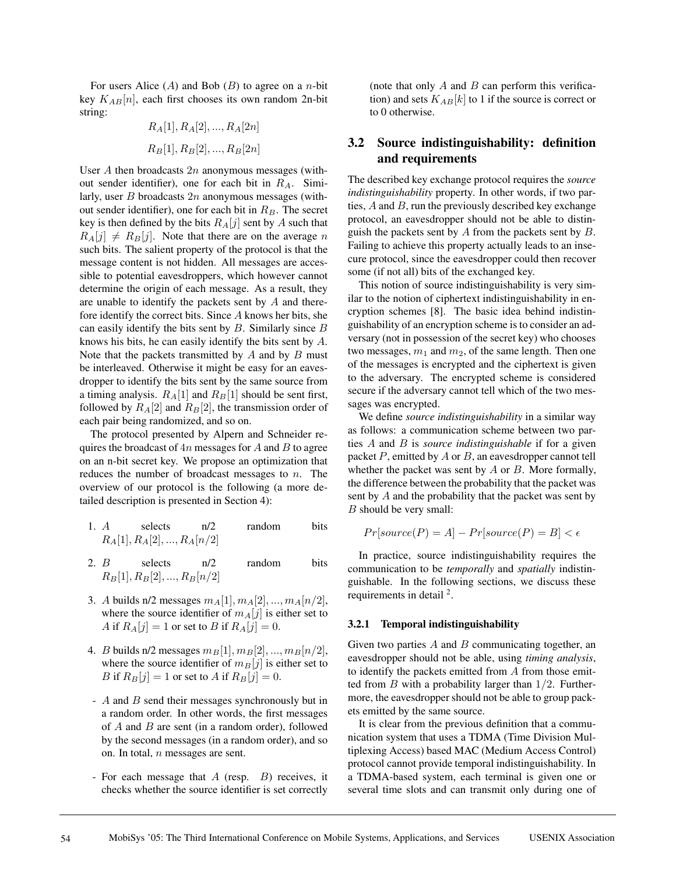For users Alice  $(A)$  and Bob  $(B)$  to agree on a *n*-bit key  $K_{AB}[n]$ , each first chooses its own random 2n-bit string:

$$
R_A[1], R_A[2], ..., R_A[2n]
$$
  

$$
R_B[1], R_B[2], ..., R_B[2n]
$$

User  $A$  then broadcasts  $2n$  anonymous messages (without sender identifier), one for each bit in  $R_A$ . Similarly, user  $B$  broadcasts  $2n$  anonymous messages (without sender identifier), one for each bit in  $R_B$ . The secret key is then defined by the bits  $R_A[j]$  sent by A such that  $R_A[j] \neq R_B[j]$ . Note that there are on the average n such bits. The salient property of the protocol is that the message content is not hidden. All messages are accessible to potential eavesdroppers, which however cannot determine the origin of each message. As a result, they are unable to identify the packets sent by A and therefore identify the correct bits. Since A knows her bits, she can easily identify the bits sent by  $B$ . Similarly since  $B$ knows his bits, he can easily identify the bits sent by A. Note that the packets transmitted by  $A$  and by  $B$  must be interleaved. Otherwise it might be easy for an eavesdropper to identify the bits sent by the same source from a timing analysis.  $R_A[1]$  and  $R_B[1]$  should be sent first, followed by  $R_A[2]$  and  $R_B[2]$ , the transmission order of each pair being randomized, and so on.

The protocol presented by Alpern and Schneider requires the broadcast of  $4n$  messages for  $A$  and  $B$  to agree on an n-bit secret key. We propose an optimization that reduces the number of broadcast messages to  $n$ . The overview of our protocol is the following (a more detailed description is presented in Section 4):

- 1. A selects  $n/2$  random bits  $R_A[1], R_A[2], ..., R_A[n/2]$
- 2. B selects n/2 random bits  $R_B[1], R_B[2], ..., R_B[n/2]$
- 3. A builds n/2 messages  $m_A[1], m_A[2], ..., m_A[n/2],$ where the source identifier of  $m_A[j]$  is either set to A if  $R_A[j]=1$  or set to B if  $R_A[j]=0$ .
- 4. *B* builds n/2 messages  $m_B[1], m_B[2], ..., m_B[n/2],$ where the source identifier of  $m_B[j]$  is either set to B if  $R_B[j]=1$  or set to A if  $R_B[j]=0$ .
- A and B send their messages synchronously but in a random order. In other words, the first messages of  $A$  and  $B$  are sent (in a random order), followed by the second messages (in a random order), and so on. In total, n messages are sent.
- For each message that A (resp. B) receives, it checks whether the source identifier is set correctly

(note that only  $A$  and  $B$  can perform this verification) and sets  $K_{AB}[k]$  to 1 if the source is correct or to 0 otherwise.

# **3.2 Source indistinguishability: definition and requirements**

The described key exchange protocol requires the *source indistinguishability* property. In other words, if two parties,  $A$  and  $B$ , run the previously described key exchange protocol, an eavesdropper should not be able to distinguish the packets sent by  $A$  from the packets sent by  $B$ . Failing to achieve this property actually leads to an insecure protocol, since the eavesdropper could then recover some (if not all) bits of the exchanged key.

This notion of source indistinguishability is very similar to the notion of ciphertext indistinguishability in encryption schemes [8]. The basic idea behind indistinguishability of an encryption scheme is to consider an adversary (not in possession of the secret key) who chooses two messages,  $m_1$  and  $m_2$ , of the same length. Then one of the messages is encrypted and the ciphertext is given to the adversary. The encrypted scheme is considered secure if the adversary cannot tell which of the two messages was encrypted.

We define *source indistinguishability* in a similar way as follows: a communication scheme between two parties A and B is *source indistinguishable* if for a given packet  $P$ , emitted by  $A$  or  $B$ , an eavesdropper cannot tell whether the packet was sent by  $A$  or  $B$ . More formally, the difference between the probability that the packet was sent by A and the probability that the packet was sent by B should be very small:

$$
Pr[source(P) = A] - Pr[source(P) = B] < \epsilon
$$

In practice, source indistinguishability requires the communication to be *temporally* and *spatially* indistinguishable. In the following sections, we discuss these requirements in detail <sup>2</sup>.

#### **3.2.1 Temporal indistinguishability**

Given two parties  $A$  and  $B$  communicating together, an eavesdropper should not be able, using *timing analysis*, to identify the packets emitted from A from those emitted from  $B$  with a probability larger than  $1/2$ . Furthermore, the eavesdropper should not be able to group packets emitted by the same source.

It is clear from the previous definition that a communication system that uses a TDMA (Time Division Multiplexing Access) based MAC (Medium Access Control) protocol cannot provide temporal indistinguishability. In a TDMA-based system, each terminal is given one or several time slots and can transmit only during one of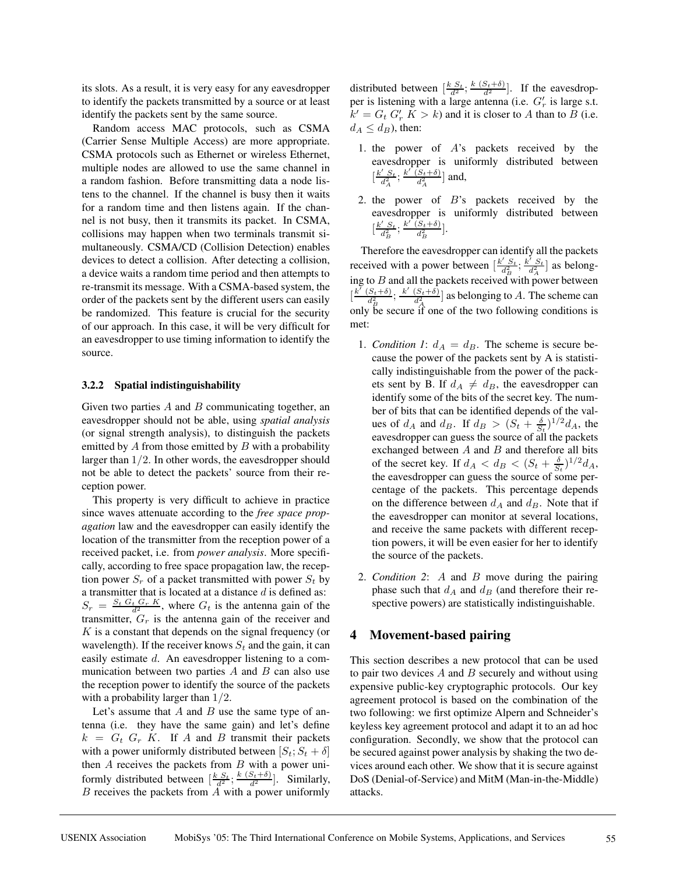its slots. As a result, it is very easy for any eavesdropper to identify the packets transmitted by a source or at least identify the packets sent by the same source.

Random access MAC protocols, such as CSMA (Carrier Sense Multiple Access) are more appropriate. CSMA protocols such as Ethernet or wireless Ethernet, multiple nodes are allowed to use the same channel in a random fashion. Before transmitting data a node listens to the channel. If the channel is busy then it waits for a random time and then listens again. If the channel is not busy, then it transmits its packet. In CSMA, collisions may happen when two terminals transmit simultaneously. CSMA/CD (Collision Detection) enables devices to detect a collision. After detecting a collision, a device waits a random time period and then attempts to re-transmit its message. With a CSMA-based system, the order of the packets sent by the different users can easily be randomized. This feature is crucial for the security of our approach. In this case, it will be very difficult for an eavesdropper to use timing information to identify the source.

#### **3.2.2 Spatial indistinguishability**

Given two parties  $A$  and  $B$  communicating together, an eavesdropper should not be able, using *spatial analysis* (or signal strength analysis), to distinguish the packets emitted by  $A$  from those emitted by  $B$  with a probability larger than  $1/2$ . In other words, the eavesdropper should not be able to detect the packets' source from their reception power.

This property is very difficult to achieve in practice since waves attenuate according to the *free space propagation* law and the eavesdropper can easily identify the location of the transmitter from the reception power of a received packet, i.e. from *power analysis*. More specifically, according to free space propagation law, the reception power  $S_r$  of a packet transmitted with power  $S_t$  by a transmitter that is located at a distance  $d$  is defined as:  $S_r = \frac{S_t G_t G_r K}{d^2}$ , where  $G_t$  is the antenna gain of the transmitter,  $G_r$  is the antenna gain of the receiver and  $K$  is a constant that depends on the signal frequency (or wavelength). If the receiver knows  $S_t$  and the gain, it can easily estimate d. An eavesdropper listening to a communication between two parties  $A$  and  $B$  can also use the reception power to identify the source of the packets with a probability larger than 1/2.

Let's assume that  $A$  and  $B$  use the same type of antenna (i.e. they have the same gain) and let's define  $k = G_t G_r K$ . If A and B transmit their packets with a power uniformly distributed between  $[S_t; S_t + \delta]$ then  $A$  receives the packets from  $B$  with a power uniformly distributed between  $\left[\frac{k S_t}{d^2}; \frac{k (S_t + \delta)}{d^2}\right]$ . Similarly,  $B$  receives the packets from  $A$  with a power uniformly

distributed between  $\left[\frac{k S_t}{d^2}; \frac{k (S_t + \delta)}{d^2}\right]$ . If the eavesdropper is listening with a large antenna (i.e.  $G'_r$  is large s.t.  $k' = G_t G'_r K > k$ ) and it is closer to A than to B (i.e.  $d_A \leq d_B$ ), then:

- 1. the power of A's packets received by the eavesdropper is uniformly distributed between  $\left[\frac{k^{\prime} S_t}{d_A^2}; \frac{k^{\prime} (S_t+\delta)}{d_A^2}\right]$  $\frac{(S_t + \delta)}{d_A^2}$  and,
- 2. the power of  $B$ 's packets received by the eavesdropper is uniformly distributed between  $\left[\frac{k^{\prime} S_t}{d_B^2}; \frac{k^{\prime} (S_t+\delta)}{d_B^2}\right]$  $\frac{(S_t+\delta)}{d_B^2}$ .

Therefore the eavesdropper can identify all the packets received with a power between  $\left[\frac{k' S_t}{d_B^2}; \frac{k' S_t}{d_A^2}\right]$  as belonging to  $B$  and all the packets received with power between  $\left[\frac{k^{r}(S_t+\delta)}{d^2}\right]$  $\frac{(S_t+\delta)}{d_B^2};\frac{k'(S_t+\delta)}{d_A^2}$ only be secure if one of the two following conditions is  $\frac{(S_t+\delta)}{d_A^2}$  as belonging to A. The scheme can met:

- 1. *Condition 1*:  $d_A = d_B$ . The scheme is secure because the power of the packets sent by A is statistically indistinguishable from the power of the packets sent by B. If  $d_A \neq d_B$ , the eavesdropper can identify some of the bits of the secret key. The number of bits that can be identified depends of the values of  $d_A$  and  $d_B$ . If  $d_B > (S_t + \frac{\delta}{S_t})^{1/2} d_A$ , the eavesdropper can guess the source of all the packets exchanged between  $A$  and  $B$  and therefore all bits of the secret key. If  $d_A < d_B < (S_t + \frac{\delta}{S_t})^{1/2} d_A$ , the eavesdropper can guess the source of some percentage of the packets. This percentage depends on the difference between  $d_A$  and  $d_B$ . Note that if the eavesdropper can monitor at several locations, and receive the same packets with different reception powers, it will be even easier for her to identify the source of the packets.
- 2. *Condition 2*: A and B move during the pairing phase such that  $d_A$  and  $d_B$  (and therefore their respective powers) are statistically indistinguishable.

## **4 Movement-based pairing**

This section describes a new protocol that can be used to pair two devices  $A$  and  $B$  securely and without using expensive public-key cryptographic protocols. Our key agreement protocol is based on the combination of the two following: we first optimize Alpern and Schneider's keyless key agreement protocol and adapt it to an ad hoc configuration. Secondly, we show that the protocol can be secured against power analysis by shaking the two devices around each other. We show that it is secure against DoS (Denial-of-Service) and MitM (Man-in-the-Middle) attacks.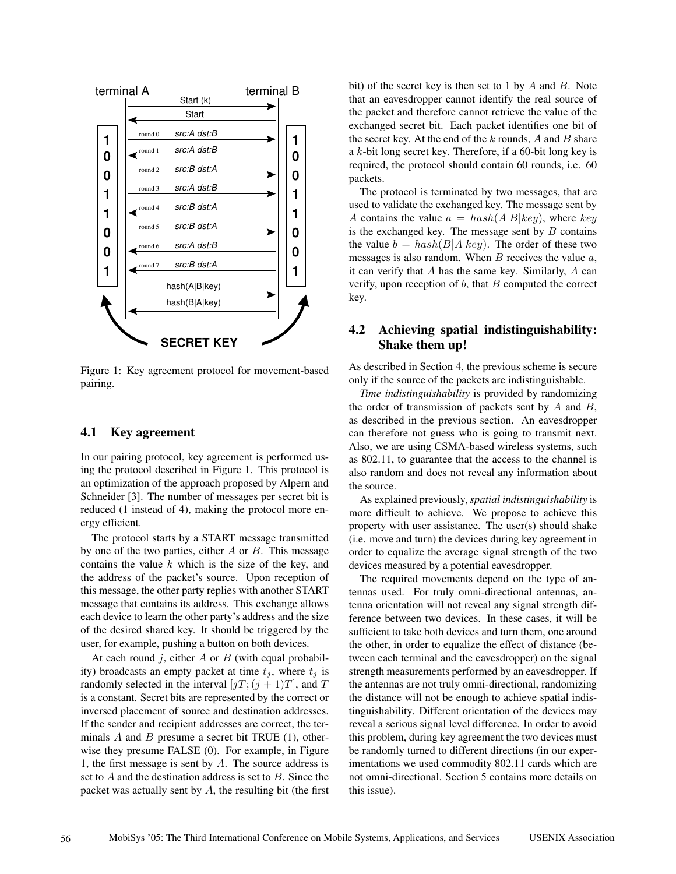

Figure 1: Key agreement protocol for movement-based pairing.

# **4.1 Key agreement**

In our pairing protocol, key agreement is performed using the protocol described in Figure 1. This protocol is an optimization of the approach proposed by Alpern and Schneider [3]. The number of messages per secret bit is reduced (1 instead of 4), making the protocol more energy efficient.

The protocol starts by a START message transmitted by one of the two parties, either  $A$  or  $B$ . This message contains the value  $k$  which is the size of the key, and the address of the packet's source. Upon reception of this message, the other party replies with another START message that contains its address. This exchange allows each device to learn the other party's address and the size of the desired shared key. It should be triggered by the user, for example, pushing a button on both devices.

At each round j, either A or B (with equal probability) broadcasts an empty packet at time  $t_i$ , where  $t_i$  is randomly selected in the interval  $[jT; (j + 1)T]$ , and T is a constant. Secret bits are represented by the correct or inversed placement of source and destination addresses. If the sender and recipient addresses are correct, the terminals  $A$  and  $B$  presume a secret bit TRUE (1), otherwise they presume FALSE (0). For example, in Figure 1, the first message is sent by  $A$ . The source address is set to  $A$  and the destination address is set to  $B$ . Since the packet was actually sent by  $A$ , the resulting bit (the first bit) of the secret key is then set to 1 by  $A$  and  $B$ . Note that an eavesdropper cannot identify the real source of the packet and therefore cannot retrieve the value of the exchanged secret bit. Each packet identifies one bit of the secret key. At the end of the  $k$  rounds,  $A$  and  $B$  share a k-bit long secret key. Therefore, if a 60-bit long key is required, the protocol should contain 60 rounds, i.e. 60 packets.

The protocol is terminated by two messages, that are used to validate the exchanged key. The message sent by A contains the value  $a = hash(A|B|key)$ , where key is the exchanged key. The message sent by  $B$  contains the value  $b = hash(B|A|key)$ . The order of these two messages is also random. When  $B$  receives the value  $a$ , it can verify that  $A$  has the same key. Similarly,  $A$  can verify, upon reception of  $b$ , that  $B$  computed the correct key.

# **4.2 Achieving spatial indistinguishability: Shake them up!**

As described in Section 4, the previous scheme is secure only if the source of the packets are indistinguishable.

*Time indistinguishability* is provided by randomizing the order of transmission of packets sent by  $A$  and  $B$ , as described in the previous section. An eavesdropper can therefore not guess who is going to transmit next. Also, we are using CSMA-based wireless systems, such as 802.11, to guarantee that the access to the channel is also random and does not reveal any information about the source.

As explained previously, *spatial indistinguishability* is more difficult to achieve. We propose to achieve this property with user assistance. The user(s) should shake (i.e. move and turn) the devices during key agreement in order to equalize the average signal strength of the two devices measured by a potential eavesdropper.

The required movements depend on the type of antennas used. For truly omni-directional antennas, antenna orientation will not reveal any signal strength difference between two devices. In these cases, it will be sufficient to take both devices and turn them, one around the other, in order to equalize the effect of distance (between each terminal and the eavesdropper) on the signal strength measurements performed by an eavesdropper. If the antennas are not truly omni-directional, randomizing the distance will not be enough to achieve spatial indistinguishability. Different orientation of the devices may reveal a serious signal level difference. In order to avoid this problem, during key agreement the two devices must be randomly turned to different directions (in our experimentations we used commodity 802.11 cards which are not omni-directional. Section 5 contains more details on this issue).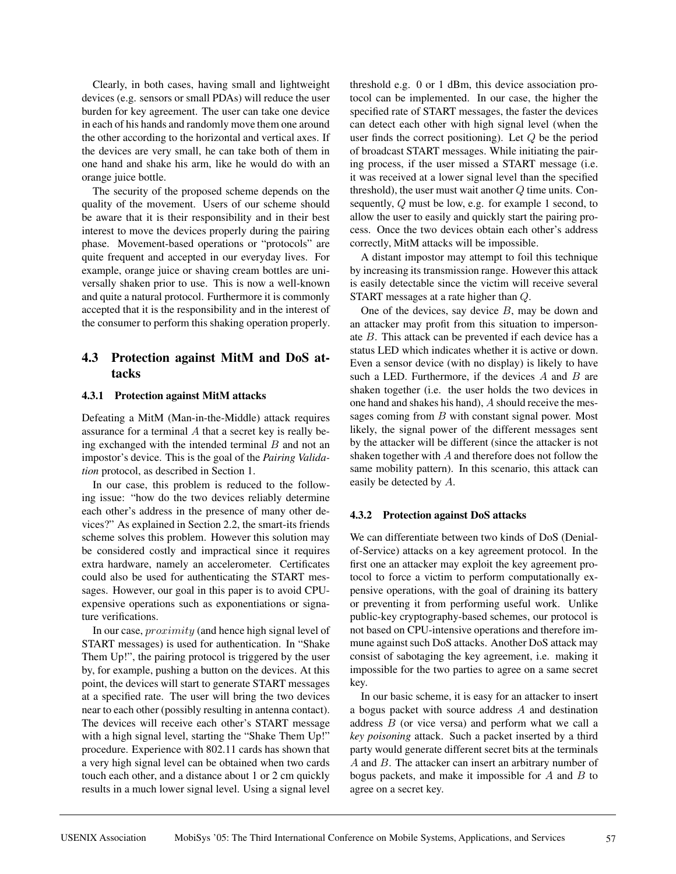Clearly, in both cases, having small and lightweight devices (e.g. sensors or small PDAs) will reduce the user burden for key agreement. The user can take one device in each of his hands and randomly move them one around the other according to the horizontal and vertical axes. If the devices are very small, he can take both of them in one hand and shake his arm, like he would do with an orange juice bottle.

The security of the proposed scheme depends on the quality of the movement. Users of our scheme should be aware that it is their responsibility and in their best interest to move the devices properly during the pairing phase. Movement-based operations or "protocols" are quite frequent and accepted in our everyday lives. For example, orange juice or shaving cream bottles are universally shaken prior to use. This is now a well-known and quite a natural protocol. Furthermore it is commonly accepted that it is the responsibility and in the interest of the consumer to perform this shaking operation properly.

# **4.3 Protection against MitM and DoS attacks**

## **4.3.1 Protection against MitM attacks**

Defeating a MitM (Man-in-the-Middle) attack requires assurance for a terminal A that a secret key is really being exchanged with the intended terminal  $B$  and not an impostor's device. This is the goal of the *Pairing Validation* protocol, as described in Section 1.

In our case, this problem is reduced to the following issue: "how do the two devices reliably determine each other's address in the presence of many other devices?" As explained in Section 2.2, the smart-its friends scheme solves this problem. However this solution may be considered costly and impractical since it requires extra hardware, namely an accelerometer. Certificates could also be used for authenticating the START messages. However, our goal in this paper is to avoid CPUexpensive operations such as exponentiations or signature verifications.

In our case, proximity (and hence high signal level of START messages) is used for authentication. In "Shake Them Up!", the pairing protocol is triggered by the user by, for example, pushing a button on the devices. At this point, the devices will start to generate START messages at a specified rate. The user will bring the two devices near to each other (possibly resulting in antenna contact). The devices will receive each other's START message with a high signal level, starting the "Shake Them Up!" procedure. Experience with 802.11 cards has shown that a very high signal level can be obtained when two cards touch each other, and a distance about 1 or 2 cm quickly results in a much lower signal level. Using a signal level threshold e.g. 0 or 1 dBm, this device association protocol can be implemented. In our case, the higher the specified rate of START messages, the faster the devices can detect each other with high signal level (when the user finds the correct positioning). Let  $Q$  be the period of broadcast START messages. While initiating the pairing process, if the user missed a START message (i.e. it was received at a lower signal level than the specified threshold), the user must wait another  $Q$  time units. Consequently, Q must be low, e.g. for example 1 second, to allow the user to easily and quickly start the pairing process. Once the two devices obtain each other's address correctly, MitM attacks will be impossible.

A distant impostor may attempt to foil this technique by increasing its transmission range. However this attack is easily detectable since the victim will receive several START messages at a rate higher than Q.

One of the devices, say device  $B$ , may be down and an attacker may profit from this situation to impersonate B. This attack can be prevented if each device has a status LED which indicates whether it is active or down. Even a sensor device (with no display) is likely to have such a LED. Furthermore, if the devices  $A$  and  $B$  are shaken together (i.e. the user holds the two devices in one hand and shakes his hand), A should receive the messages coming from B with constant signal power. Most likely, the signal power of the different messages sent by the attacker will be different (since the attacker is not shaken together with A and therefore does not follow the same mobility pattern). In this scenario, this attack can easily be detected by A.

# **4.3.2 Protection against DoS attacks**

We can differentiate between two kinds of DoS (Denialof-Service) attacks on a key agreement protocol. In the first one an attacker may exploit the key agreement protocol to force a victim to perform computationally expensive operations, with the goal of draining its battery or preventing it from performing useful work. Unlike public-key cryptography-based schemes, our protocol is not based on CPU-intensive operations and therefore immune against such DoS attacks. Another DoS attack may consist of sabotaging the key agreement, i.e. making it impossible for the two parties to agree on a same secret key.

In our basic scheme, it is easy for an attacker to insert a bogus packet with source address A and destination address  $B$  (or vice versa) and perform what we call a *key poisoning* attack. Such a packet inserted by a third party would generate different secret bits at the terminals A and B. The attacker can insert an arbitrary number of bogus packets, and make it impossible for  $A$  and  $B$  to agree on a secret key.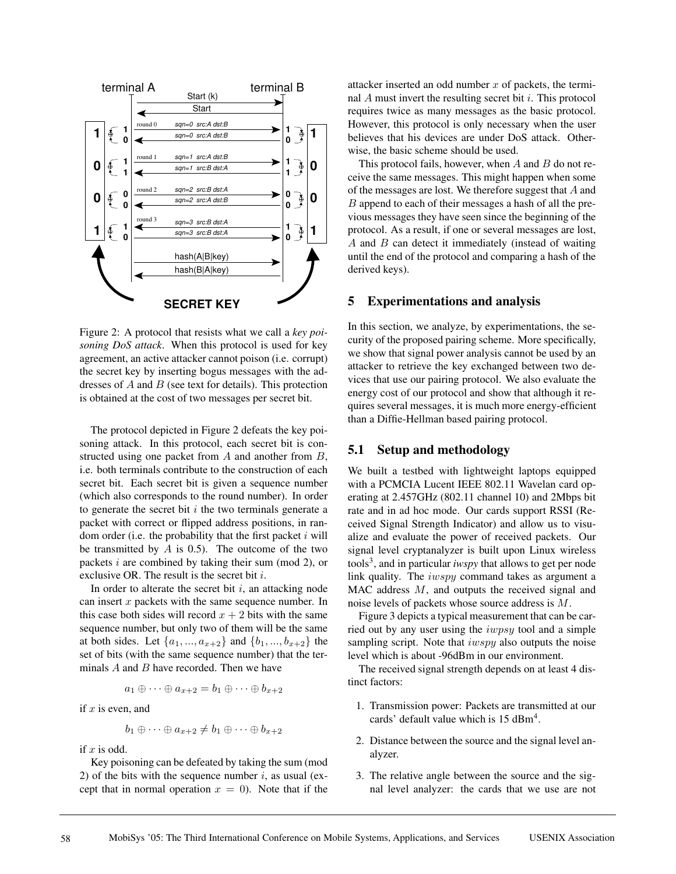

Figure 2: A protocol that resists what we call a *key poisoning DoS attack*. When this protocol is used for key agreement, an active attacker cannot poison (i.e. corrupt) the secret key by inserting bogus messages with the addresses of  $A$  and  $B$  (see text for details). This protection is obtained at the cost of two messages per secret bit.

The protocol depicted in Figure 2 defeats the key poisoning attack. In this protocol, each secret bit is constructed using one packet from A and another from B, i.e. both terminals contribute to the construction of each secret bit. Each secret bit is given a sequence number (which also corresponds to the round number). In order to generate the secret bit  $i$  the two terminals generate a packet with correct or flipped address positions, in random order (i.e. the probability that the first packet  $i$  will be transmitted by  $A$  is 0.5). The outcome of the two packets i are combined by taking their sum (mod 2), or exclusive OR. The result is the secret bit i.

In order to alterate the secret bit  $i$ , an attacking node can insert  $x$  packets with the same sequence number. In this case both sides will record  $x + 2$  bits with the same sequence number, but only two of them will be the same at both sides. Let  $\{a_1, ..., a_{x+2}\}\$  and  $\{b_1, ..., b_{x+2}\}\$  the set of bits (with the same sequence number) that the terminals  $A$  and  $B$  have recorded. Then we have

$$
a_1 \oplus \cdots \oplus a_{x+2} = b_1 \oplus \cdots \oplus b_{x+2}
$$

if 
$$
x
$$
 is even, and

$$
b_1 \oplus \cdots \oplus a_{x+2} \neq b_1 \oplus \cdots \oplus b_{x+2}
$$

if  $x$  is odd.

Key poisoning can be defeated by taking the sum (mod 2) of the bits with the sequence number  $i$ , as usual (except that in normal operation  $x = 0$ ). Note that if the attacker inserted an odd number  $x$  of packets, the terminal  $A$  must invert the resulting secret bit  $i$ . This protocol requires twice as many messages as the basic protocol. However, this protocol is only necessary when the user believes that his devices are under DoS attack. Otherwise, the basic scheme should be used.

This protocol fails, however, when  $A$  and  $B$  do not receive the same messages. This might happen when some of the messages are lost. We therefore suggest that A and B append to each of their messages a hash of all the previous messages they have seen since the beginning of the protocol. As a result, if one or several messages are lost,  $A$  and  $B$  can detect it immediately (instead of waiting until the end of the protocol and comparing a hash of the derived keys).

## **5 Experimentations and analysis**

In this section, we analyze, by experimentations, the security of the proposed pairing scheme. More specifically, we show that signal power analysis cannot be used by an attacker to retrieve the key exchanged between two devices that use our pairing protocol. We also evaluate the energy cost of our protocol and show that although it requires several messages, it is much more energy-efficient than a Diffie-Hellman based pairing protocol.

## **5.1 Setup and methodology**

We built a testbed with lightweight laptops equipped with a PCMCIA Lucent IEEE 802.11 Wavelan card operating at 2.457GHz (802.11 channel 10) and 2Mbps bit rate and in ad hoc mode. Our cards support RSSI (Received Signal Strength Indicator) and allow us to visualize and evaluate the power of received packets. Our signal level cryptanalyzer is built upon Linux wireless tools<sup>3</sup>, and in particular *iwspy* that allows to get per node link quality. The iwspy command takes as argument a MAC address M, and outputs the received signal and noise levels of packets whose source address is M.

Figure 3 depicts a typical measurement that can be carried out by any user using the iwpsy tool and a simple sampling script. Note that  $i w s p y$  also outputs the noise level which is about -96dBm in our environment.

The received signal strength depends on at least 4 distinct factors:

- 1. Transmission power: Packets are transmitted at our cards' default value which is 15 dBm<sup>4</sup>.
- 2. Distance between the source and the signal level analyzer.
- 3. The relative angle between the source and the signal level analyzer: the cards that we use are not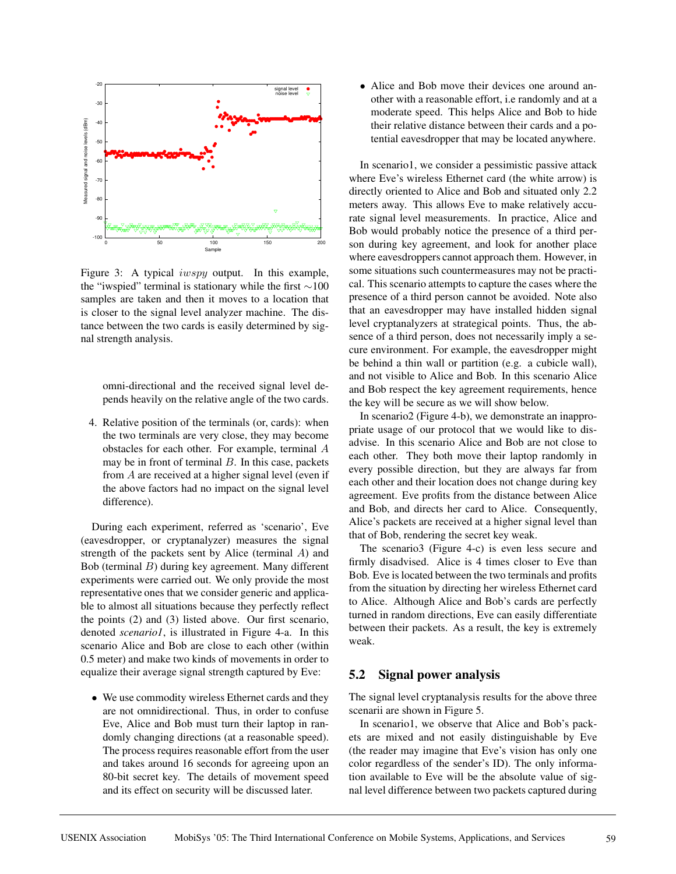

Figure 3: A typical *iwspy* output. In this example, the "iwspied" terminal is stationary while the first ∼100 samples are taken and then it moves to a location that is closer to the signal level analyzer machine. The distance between the two cards is easily determined by signal strength analysis.

omni-directional and the received signal level depends heavily on the relative angle of the two cards.

4. Relative position of the terminals (or, cards): when the two terminals are very close, they may become obstacles for each other. For example, terminal A may be in front of terminal  $B$ . In this case, packets from A are received at a higher signal level (even if the above factors had no impact on the signal level difference).

During each experiment, referred as 'scenario', Eve (eavesdropper, or cryptanalyzer) measures the signal strength of the packets sent by Alice (terminal A) and Bob (terminal B) during key agreement. Many different experiments were carried out. We only provide the most representative ones that we consider generic and applicable to almost all situations because they perfectly reflect the points (2) and (3) listed above. Our first scenario, denoted *scenario1*, is illustrated in Figure 4-a. In this scenario Alice and Bob are close to each other (within 0.5 meter) and make two kinds of movements in order to equalize their average signal strength captured by Eve:

• We use commodity wireless Ethernet cards and they are not omnidirectional. Thus, in order to confuse Eve, Alice and Bob must turn their laptop in randomly changing directions (at a reasonable speed). The process requires reasonable effort from the user and takes around 16 seconds for agreeing upon an 80-bit secret key. The details of movement speed and its effect on security will be discussed later.

• Alice and Bob move their devices one around another with a reasonable effort, i.e randomly and at a moderate speed. This helps Alice and Bob to hide their relative distance between their cards and a potential eavesdropper that may be located anywhere.

In scenario1, we consider a pessimistic passive attack where Eve's wireless Ethernet card (the white arrow) is directly oriented to Alice and Bob and situated only 2.2 meters away. This allows Eve to make relatively accurate signal level measurements. In practice, Alice and Bob would probably notice the presence of a third person during key agreement, and look for another place where eavesdroppers cannot approach them. However, in some situations such countermeasures may not be practical. This scenario attempts to capture the cases where the presence of a third person cannot be avoided. Note also that an eavesdropper may have installed hidden signal level cryptanalyzers at strategical points. Thus, the absence of a third person, does not necessarily imply a secure environment. For example, the eavesdropper might be behind a thin wall or partition (e.g. a cubicle wall), and not visible to Alice and Bob. In this scenario Alice and Bob respect the key agreement requirements, hence the key will be secure as we will show below.

In scenario2 (Figure 4-b), we demonstrate an inappropriate usage of our protocol that we would like to disadvise. In this scenario Alice and Bob are not close to each other. They both move their laptop randomly in every possible direction, but they are always far from each other and their location does not change during key agreement. Eve profits from the distance between Alice and Bob, and directs her card to Alice. Consequently, Alice's packets are received at a higher signal level than that of Bob, rendering the secret key weak.

The scenario3 (Figure 4-c) is even less secure and firmly disadvised. Alice is 4 times closer to Eve than Bob. Eve is located between the two terminals and profits from the situation by directing her wireless Ethernet card to Alice. Although Alice and Bob's cards are perfectly turned in random directions, Eve can easily differentiate between their packets. As a result, the key is extremely weak.

## **5.2 Signal power analysis**

The signal level cryptanalysis results for the above three scenarii are shown in Figure 5.

In scenario1, we observe that Alice and Bob's packets are mixed and not easily distinguishable by Eve (the reader may imagine that Eve's vision has only one color regardless of the sender's ID). The only information available to Eve will be the absolute value of signal level difference between two packets captured during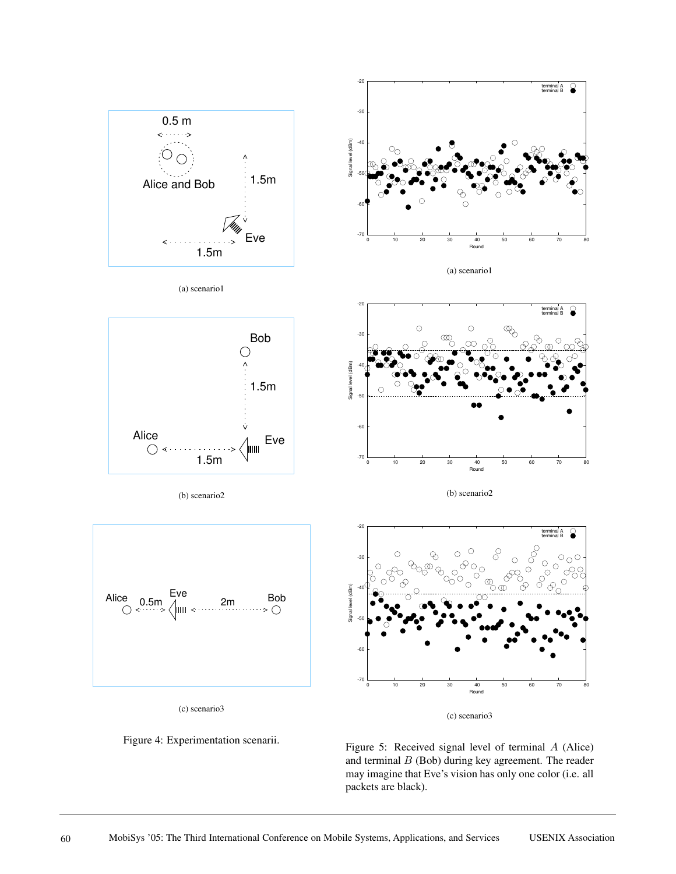

(a) scenario1

terminal A terminal B

terminal A terminal B

 $\odot$  $\circ$ - 69  $\odot$ b.

 $\overline{\circ}_{\circ}$ 

 $\circ$ 

 $\infty$ 

0 10 20 30 40 50 60 70 80

Round

(b) scenario2







(b) scenario2







Figure 5: Received signal level of terminal A (Alice) and terminal  $B$  (Bob) during key agreement. The reader may imagine that Eve's vision has only one color (i.e. all packets are black).

(c) scenario3

0 10 20 30 40 50 60 70 80

Round

-70

-70

-60

-50

Signal level (dBm)

ignal

 $-40$ 

-30

-20

-60

-50

Signal level (dBm)

Signal level (dBm

-40

-30

-20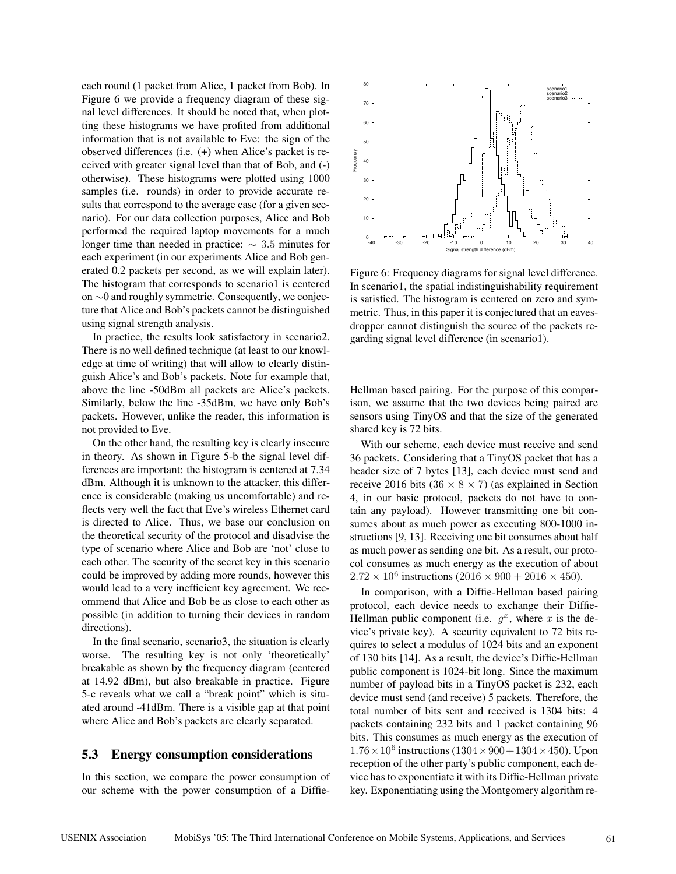each round (1 packet from Alice, 1 packet from Bob). In Figure 6 we provide a frequency diagram of these signal level differences. It should be noted that, when plotting these histograms we have profited from additional information that is not available to Eve: the sign of the observed differences (i.e. (+) when Alice's packet is received with greater signal level than that of Bob, and (-) otherwise). These histograms were plotted using 1000 samples (i.e. rounds) in order to provide accurate results that correspond to the average case (for a given scenario). For our data collection purposes, Alice and Bob performed the required laptop movements for a much longer time than needed in practice:  $\sim$  3.5 minutes for each experiment (in our experiments Alice and Bob generated 0.2 packets per second, as we will explain later). The histogram that corresponds to scenario1 is centered on ∼0 and roughly symmetric. Consequently, we conjecture that Alice and Bob's packets cannot be distinguished using signal strength analysis.

In practice, the results look satisfactory in scenario2. There is no well defined technique (at least to our knowledge at time of writing) that will allow to clearly distinguish Alice's and Bob's packets. Note for example that, above the line -50dBm all packets are Alice's packets. Similarly, below the line -35dBm, we have only Bob's packets. However, unlike the reader, this information is not provided to Eve.

On the other hand, the resulting key is clearly insecure in theory. As shown in Figure 5-b the signal level differences are important: the histogram is centered at 7.34 dBm. Although it is unknown to the attacker, this difference is considerable (making us uncomfortable) and reflects very well the fact that Eve's wireless Ethernet card is directed to Alice. Thus, we base our conclusion on the theoretical security of the protocol and disadvise the type of scenario where Alice and Bob are 'not' close to each other. The security of the secret key in this scenario could be improved by adding more rounds, however this would lead to a very inefficient key agreement. We recommend that Alice and Bob be as close to each other as possible (in addition to turning their devices in random directions).

In the final scenario, scenario3, the situation is clearly worse. The resulting key is not only 'theoretically' breakable as shown by the frequency diagram (centered at 14.92 dBm), but also breakable in practice. Figure 5-c reveals what we call a "break point" which is situated around -41dBm. There is a visible gap at that point where Alice and Bob's packets are clearly separated.

## **5.3 Energy consumption considerations**

In this section, we compare the power consumption of our scheme with the power consumption of a Diffie-



Figure 6: Frequency diagrams for signal level difference. In scenario1, the spatial indistinguishability requirement is satisfied. The histogram is centered on zero and symmetric. Thus, in this paper it is conjectured that an eavesdropper cannot distinguish the source of the packets regarding signal level difference (in scenario1).

Hellman based pairing. For the purpose of this comparison, we assume that the two devices being paired are sensors using TinyOS and that the size of the generated shared key is 72 bits.

With our scheme, each device must receive and send 36 packets. Considering that a TinyOS packet that has a header size of 7 bytes [13], each device must send and receive 2016 bits ( $36 \times 8 \times 7$ ) (as explained in Section 4, in our basic protocol, packets do not have to contain any payload). However transmitting one bit consumes about as much power as executing 800-1000 instructions [9, 13]. Receiving one bit consumes about half as much power as sending one bit. As a result, our protocol consumes as much energy as the execution of about  $2.72 \times 10^6$  instructions  $(2016 \times 900 + 2016 \times 450)$ .

In comparison, with a Diffie-Hellman based pairing protocol, each device needs to exchange their Diffie-Hellman public component (i.e.  $g^x$ , where x is the device's private key). A security equivalent to 72 bits requires to select a modulus of 1024 bits and an exponent of 130 bits [14]. As a result, the device's Diffie-Hellman public component is 1024-bit long. Since the maximum number of payload bits in a TinyOS packet is 232, each device must send (and receive) 5 packets. Therefore, the total number of bits sent and received is 1304 bits: 4 packets containing 232 bits and 1 packet containing 96 bits. This consumes as much energy as the execution of  $1.76 \times 10^6$  instructions  $(1304 \times 900 + 1304 \times 450)$ . Upon reception of the other party's public component, each device has to exponentiate it with its Diffie-Hellman private key. Exponentiating using the Montgomery algorithm re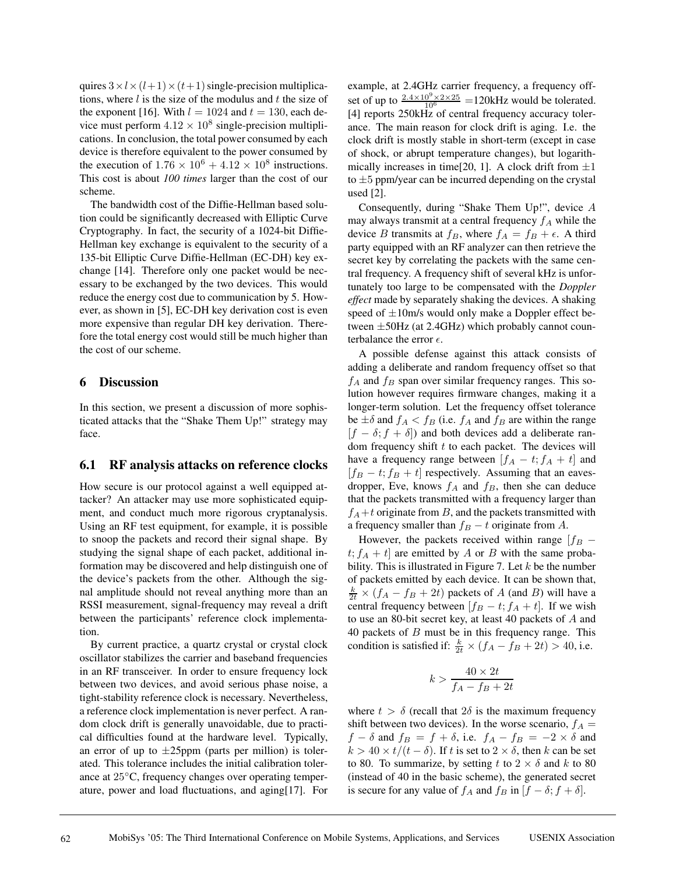quires  $3 \times l \times (l+1) \times (t+1)$  single-precision multiplications, where  $l$  is the size of the modulus and  $t$  the size of the exponent [16]. With  $l = 1024$  and  $t = 130$ , each device must perform  $4.12 \times 10^8$  single-precision multiplications. In conclusion, the total power consumed by each device is therefore equivalent to the power consumed by the execution of  $1.76 \times 10^6 + 4.12 \times 10^8$  instructions. This cost is about *100 times* larger than the cost of our scheme.

The bandwidth cost of the Diffie-Hellman based solution could be significantly decreased with Elliptic Curve Cryptography. In fact, the security of a 1024-bit Diffie-Hellman key exchange is equivalent to the security of a 135-bit Elliptic Curve Diffie-Hellman (EC-DH) key exchange [14]. Therefore only one packet would be necessary to be exchanged by the two devices. This would reduce the energy cost due to communication by 5. However, as shown in [5], EC-DH key derivation cost is even more expensive than regular DH key derivation. Therefore the total energy cost would still be much higher than the cost of our scheme.

# **6 Discussion**

In this section, we present a discussion of more sophisticated attacks that the "Shake Them Up!" strategy may face.

# **6.1 RF analysis attacks on reference clocks**

How secure is our protocol against a well equipped attacker? An attacker may use more sophisticated equipment, and conduct much more rigorous cryptanalysis. Using an RF test equipment, for example, it is possible to snoop the packets and record their signal shape. By studying the signal shape of each packet, additional information may be discovered and help distinguish one of the device's packets from the other. Although the signal amplitude should not reveal anything more than an RSSI measurement, signal-frequency may reveal a drift between the participants' reference clock implementation.

By current practice, a quartz crystal or crystal clock oscillator stabilizes the carrier and baseband frequencies in an RF transceiver. In order to ensure frequency lock between two devices, and avoid serious phase noise, a tight-stability reference clock is necessary. Nevertheless, a reference clock implementation is never perfect. A random clock drift is generally unavoidable, due to practical difficulties found at the hardware level. Typically, an error of up to  $\pm 25$ ppm (parts per million) is tolerated. This tolerance includes the initial calibration tolerance at 25◦C, frequency changes over operating temperature, power and load fluctuations, and aging[17]. For example, at 2.4GHz carrier frequency, a frequency offset of up to  $\frac{2.4 \times 10^9 \times 2 \times 25}{10^6}$  =120kHz would be tolerated. [4] reports 250kHz of central frequency accuracy tolerance. The main reason for clock drift is aging. I.e. the clock drift is mostly stable in short-term (except in case of shock, or abrupt temperature changes), but logarithmically increases in time[20, 1]. A clock drift from  $\pm 1$ to  $\pm 5$  ppm/year can be incurred depending on the crystal used [2].

Consequently, during "Shake Them Up!", device A may always transmit at a central frequency  $f_A$  while the device B transmits at  $f_B$ , where  $f_A = f_B + \epsilon$ . A third party equipped with an RF analyzer can then retrieve the secret key by correlating the packets with the same central frequency. A frequency shift of several kHz is unfortunately too large to be compensated with the *Doppler effect* made by separately shaking the devices. A shaking speed of  $\pm 10$ m/s would only make a Doppler effect between  $\pm$ 50Hz (at 2.4GHz) which probably cannot counterbalance the error  $\epsilon$ .

A possible defense against this attack consists of adding a deliberate and random frequency offset so that  $f_A$  and  $f_B$  span over similar frequency ranges. This solution however requires firmware changes, making it a longer-term solution. Let the frequency offset tolerance be  $\pm \delta$  and  $f_A < f_B$  (i.e.  $f_A$  and  $f_B$  are within the range  $[f - \delta; f + \delta]$  and both devices add a deliberate random frequency shift  $t$  to each packet. The devices will have a frequency range between  $[f_A - t; f_A + t]$  and  $[f_B - t; f_B + t]$  respectively. Assuming that an eavesdropper, Eve, knows  $f_A$  and  $f_B$ , then she can deduce that the packets transmitted with a frequency larger than  $f_A + t$  originate from B, and the packets transmitted with a frequency smaller than  $f_B - t$  originate from A.

However, the packets received within range  $[f_B$  $t$ ;  $f_A + t$  are emitted by A or B with the same probability. This is illustrated in Figure 7. Let  $k$  be the number of packets emitted by each device. It can be shown that,  $\frac{k}{2t} \times (f_A - f_B + 2t)$  packets of A (and B) will have a central frequency between  $[f_B - t; f_A + t]$ . If we wish to use an 80-bit secret key, at least 40 packets of A and 40 packets of  $B$  must be in this frequency range. This condition is satisfied if:  $\frac{k}{2t} \times (f_A - \bar{f}_B + 2t) > 40$ , i.e.

$$
k > \frac{40 \times 2t}{f_A - f_B + 2t}
$$

where  $t > \delta$  (recall that  $2\delta$  is the maximum frequency shift between two devices). In the worse scenario,  $f_A =$  $f - \delta$  and  $f_B = f + \delta$ , i.e.  $f_A - f_B = -2 \times \delta$  and  $k > 40 \times t/(t - \delta)$ . If t is set to  $2 \times \delta$ , then k can be set to 80. To summarize, by setting t to  $2 \times \delta$  and k to 80 (instead of 40 in the basic scheme), the generated secret is secure for any value of  $f_A$  and  $f_B$  in  $[f - \delta; f + \delta]$ .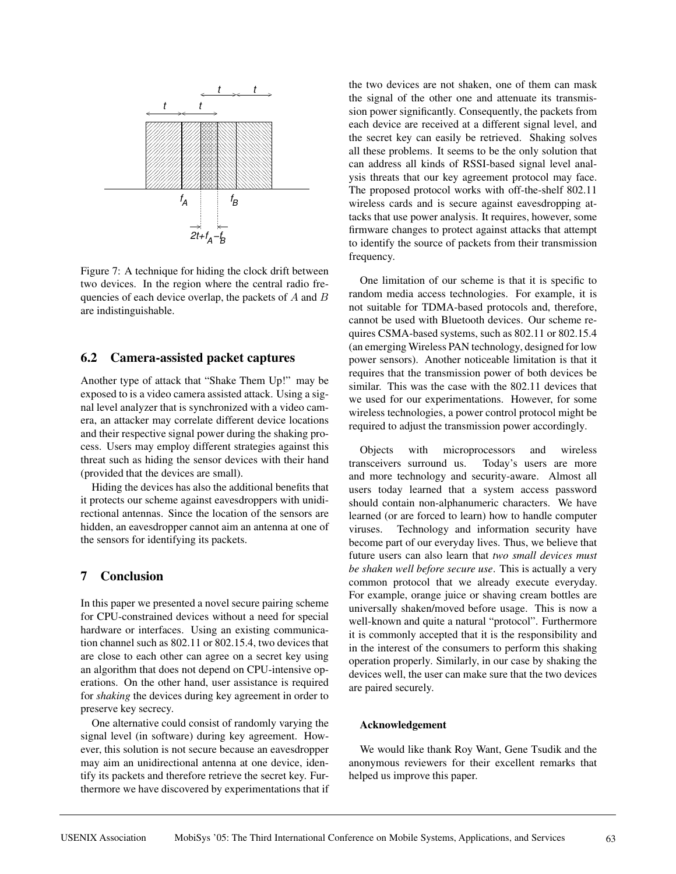

Figure 7: A technique for hiding the clock drift between two devices. In the region where the central radio frequencies of each device overlap, the packets of  $A$  and  $B$ are indistinguishable.

## **6.2 Camera-assisted packet captures**

Another type of attack that "Shake Them Up!" may be exposed to is a video camera assisted attack. Using a signal level analyzer that is synchronized with a video camera, an attacker may correlate different device locations and their respective signal power during the shaking process. Users may employ different strategies against this threat such as hiding the sensor devices with their hand (provided that the devices are small).

Hiding the devices has also the additional benefits that it protects our scheme against eavesdroppers with unidirectional antennas. Since the location of the sensors are hidden, an eavesdropper cannot aim an antenna at one of the sensors for identifying its packets.

# **7 Conclusion**

In this paper we presented a novel secure pairing scheme for CPU-constrained devices without a need for special hardware or interfaces. Using an existing communication channel such as 802.11 or 802.15.4, two devices that are close to each other can agree on a secret key using an algorithm that does not depend on CPU-intensive operations. On the other hand, user assistance is required for *shaking* the devices during key agreement in order to preserve key secrecy.

One alternative could consist of randomly varying the signal level (in software) during key agreement. However, this solution is not secure because an eavesdropper may aim an unidirectional antenna at one device, identify its packets and therefore retrieve the secret key. Furthermore we have discovered by experimentations that if the two devices are not shaken, one of them can mask the signal of the other one and attenuate its transmission power significantly. Consequently, the packets from each device are received at a different signal level, and the secret key can easily be retrieved. Shaking solves all these problems. It seems to be the only solution that can address all kinds of RSSI-based signal level analysis threats that our key agreement protocol may face. The proposed protocol works with off-the-shelf 802.11 wireless cards and is secure against eavesdropping attacks that use power analysis. It requires, however, some firmware changes to protect against attacks that attempt to identify the source of packets from their transmission frequency.

One limitation of our scheme is that it is specific to random media access technologies. For example, it is not suitable for TDMA-based protocols and, therefore, cannot be used with Bluetooth devices. Our scheme requires CSMA-based systems, such as 802.11 or 802.15.4 (an emerging Wireless PAN technology, designed for low power sensors). Another noticeable limitation is that it requires that the transmission power of both devices be similar. This was the case with the 802.11 devices that we used for our experimentations. However, for some wireless technologies, a power control protocol might be required to adjust the transmission power accordingly.

Objects with microprocessors and wireless transceivers surround us. Today's users are more and more technology and security-aware. Almost all users today learned that a system access password should contain non-alphanumeric characters. We have learned (or are forced to learn) how to handle computer viruses. Technology and information security have become part of our everyday lives. Thus, we believe that future users can also learn that *two small devices must be shaken well before secure use*. This is actually a very common protocol that we already execute everyday. For example, orange juice or shaving cream bottles are universally shaken/moved before usage. This is now a well-known and quite a natural "protocol". Furthermore it is commonly accepted that it is the responsibility and in the interest of the consumers to perform this shaking operation properly. Similarly, in our case by shaking the devices well, the user can make sure that the two devices are paired securely.

#### **Acknowledgement**

We would like thank Roy Want, Gene Tsudik and the anonymous reviewers for their excellent remarks that helped us improve this paper.